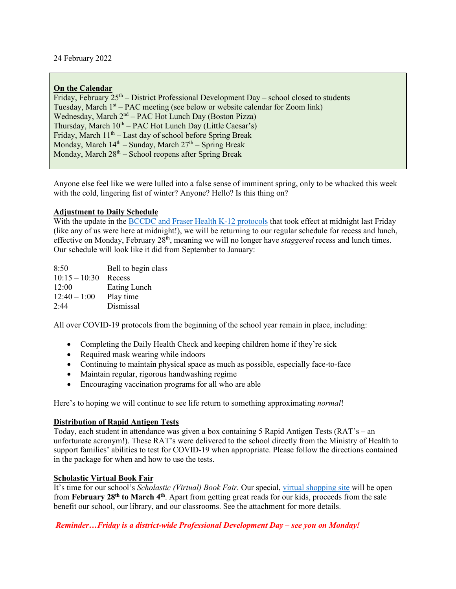24 February 2022

## **On the Calendar**

Friday, February  $25<sup>th</sup>$  – District Professional Development Day – school closed to students Tuesday, March 1<sup>st</sup> – PAC meeting (see below or website calendar for Zoom link) Wednesday, March  $2<sup>nd</sup> - PAC$  Hot Lunch Day (Boston Pizza) Thursday, March  $10^{th}$  – PAC Hot Lunch Day (Little Caesar's) Friday, March 11<sup>th</sup> – Last day of school before Spring Break Monday, March  $14<sup>th</sup>$  – Sunday, March  $27<sup>th</sup>$  – Spring Break Monday, March  $28<sup>th</sup>$  – School reopens after Spring Break

Anyone else feel like we were lulled into a false sense of imminent spring, only to be whacked this week with the cold, lingering fist of winter? Anyone? Hello? Is this thing on?

### **Adjustment to Daily Schedule**

With the update in the [BCCDC and Fraser Health K-12 protocols](chrome-extension://efaidnbmnnnibpcajpcglclefindmkaj/viewer.html?pdfurl=http%3A%2F%2Fwww.sd43.bc.ca%2FLists%2FDocuments%2FFinal%2520Feb%252023%25202022%2520-%2520Health%2520Safety%2520Protocols%2520for%2520Schools%2520Stage%25202%2520(Parents)%2520Feb%252023%25202022%2520District%2520Planning%2520%2520Guidelines.pdf&clen=563611&chunk=true) that took effect at midnight last Friday (like any of us were here at midnight!), we will be returning to our regular schedule for recess and lunch, effective on Monday, February 28th, meaning we will no longer have *staggered* recess and lunch times. Our schedule will look like it did from September to January:

8:50 Bell to begin class 10:15 – 10:30 Recess 12:00 Eating Lunch  $12:40 - 1:00$  Play time 2:44 Dismissal

All over COVID-19 protocols from the beginning of the school year remain in place, including:

- Completing the Daily Health Check and keeping children home if they're sick
- Required mask wearing while indoors
- Continuing to maintain physical space as much as possible, especially face-to-face
- Maintain regular, rigorous handwashing regime
- Encouraging vaccination programs for all who are able

Here's to hoping we will continue to see life return to something approximating *normal*!

### **Distribution of Rapid Antigen Tests**

Today, each student in attendance was given a box containing 5 Rapid Antigen Tests (RAT's – an unfortunate acronym!). These RAT's were delivered to the school directly from the Ministry of Health to support families' abilities to test for COVID-19 when appropriate. Please follow the directions contained in the package for when and how to use the tests.

### **Scholastic Virtual Book Fair**

It's time for our school's *Scholastic (Virtual) Book Fair.* Our special[, virtual shopping site](https://virtualbookfairs.scholastic.ca/pages/5174245) will be open from **February 28th to March 4th**. Apart from getting great reads for our kids, proceeds from the sale benefit our school, our library, and our classrooms. See the attachment for more details.

*Reminder…Friday is a district-wide Professional Development Day – see you on Monday!*